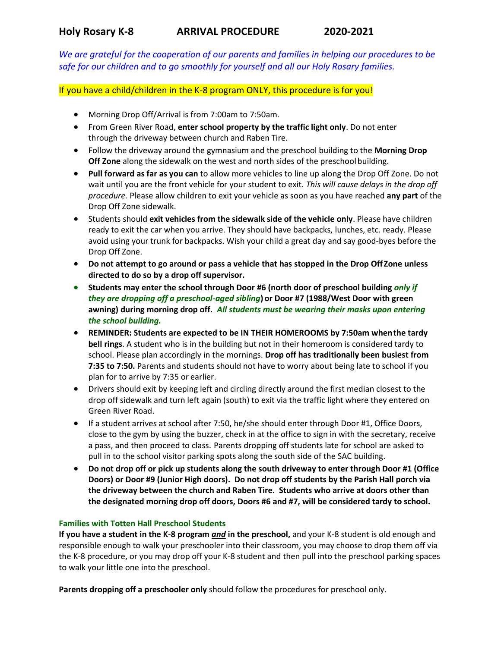**Holy Rosary K-8 ARRIVAL PROCEDURE 2020-2021**

*We are grateful for the cooperation of our parents and families in helping our procedures to be safe for our children and to go smoothly for yourself and all our Holy Rosary families.*

If you have a child/children in the K-8 program ONLY, this procedure is for you!

- Morning Drop Off/Arrival is from 7:00am to 7:50am.
- From Green River Road, **enter school property by the traffic light only**. Do not enter through the driveway between church and Raben Tire.
- Follow the driveway around the gymnasium and the preschool building to the **Morning Drop Off Zone** along the sidewalk on the west and north sides of the preschoolbuilding.
- **Pull forward as far as you can** to allow more vehicles to line up along the Drop Off Zone. Do not wait until you are the front vehicle for your student to exit. *This will cause delays in the drop off procedure.* Please allow children to exit your vehicle as soon as you have reached **any part** of the Drop Off Zone sidewalk.
- Students should **exit vehicles from the sidewalk side of the vehicle only**. Please have children ready to exit the car when you arrive. They should have backpacks, lunches, etc. ready. Please avoid using your trunk for backpacks. Wish your child a great day and say good-byes before the Drop Off Zone.
- **Do not attempt to go around or pass a vehicle that has stopped in the Drop OffZone unless directed to do so by a drop off supervisor.**
- **Students may enter the school through Door #6 (north door of preschool building** *only if they are dropping off a preschool-aged sibling***)or Door #7 (1988/West Door with green awning) during morning drop off.** *All students must be wearing their masks upon entering the school building.*
- **REMINDER: Students are expected to be IN THEIR HOMEROOMS by 7:50am whenthe tardy bell rings**. A student who is in the building but not in their homeroom is considered tardy to school. Please plan accordingly in the mornings. **Drop off has traditionally been busiest from 7:35 to 7:50.** Parents and students should not have to worry about being late to school if you plan for to arrive by 7:35 or earlier.
- Drivers should exit by keeping left and circling directly around the first median closest to the drop off sidewalk and turn left again (south) to exit via the traffic light where they entered on Green River Road.
- If a student arrives at school after 7:50, he/she should enter through Door #1, Office Doors, close to the gym by using the buzzer, check in at the office to sign in with the secretary, receive a pass, and then proceed to class. Parents dropping off students late for school are asked to pull in to the school visitor parking spots along the south side of the SAC building.
- **Do not drop off or pick up students along the south driveway to enter through Door #1 (Office Doors) or Door #9 (Junior High doors). Do not drop off students by the Parish Hall porch via the driveway between the church and Raben Tire. Students who arrive at doors other than the designated morning drop off doors, Doors #6 and #7, will be considered tardy to school.**

## **Families with Totten Hall Preschool Students**

**If you have a student in the K-8 program** *and* **in the preschool,** and your K-8 student is old enough and responsible enough to walk your preschooler into their classroom, you may choose to drop them off via the K-8 procedure, or you may drop off your K-8 student and then pull into the preschool parking spaces to walk your little one into the preschool.

**Parents dropping off a preschooler only** should follow the procedures for preschool only.